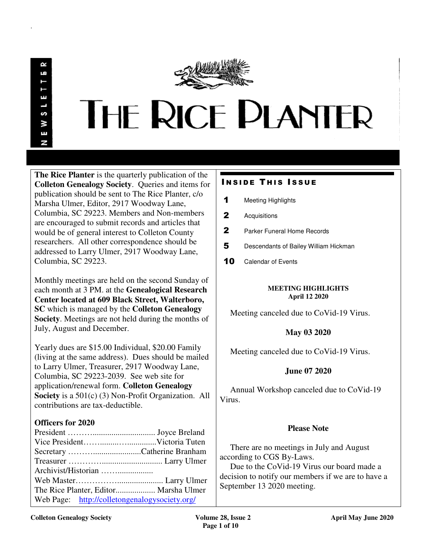.

# **THE RICE PLANTER**

**The Rice Planter** is the quarterly publication of the **Colleton Genealogy Society**. Queries and items for publication should be sent to The Rice Planter, c/o Marsha Ulmer, Editor, 2917 Woodway Lane, Columbia, SC 29223. Members and Non-members are encouraged to submit records and articles that would be of general interest to Colleton County researchers. All other correspondence should be addressed to Larry Ulmer, 2917 Woodway Lane, Columbia, SC 29223.

Monthly meetings are held on the second Sunday of each month at 3 PM. at the **Genealogical Research Center located at 609 Black Street, Walterboro, SC** which is managed by the **Colleton Genealogy Society**. Meetings are not held during the months of July, August and December.

Yearly dues are \$15.00 Individual, \$20.00 Family (living at the same address). Dues should be mailed to Larry Ulmer, Treasurer, 2917 Woodway Lane, Columbia, SC 29223-2039. See web site for application/renewal form. **Colleton Genealogy Society** is a 501(c) (3) Non-Profit Organization. All contributions are tax-deductible.

# **Officers for 2020**

| The Rice Planter, Editor Marsha Ulmer         |  |
|-----------------------------------------------|--|
| Web Page: http://colletongenalogysociety.org/ |  |

# **INSIDE THIS ISSUE**

- 1 Meeting Highlights
- 2 Acquisitions
- 2 Parker Funeral Home Records
- 5 Descendants of Bailey William Hickman
- 10 Calendar of Events

## **MEETING HIGHLIGHTS April 12 2020**

Meeting canceled due to CoVid-19 Virus.

# **May 03 2020**

Meeting canceled due to CoVid-19 Virus.

# **June 07 2020**

 Annual Workshop canceled due to CoVid-19 Virus.

# **Please Note**

 There are no meetings in July and August according to CGS By-Laws.

 Due to the CoVid-19 Virus our board made a decision to notify our members if we are to have a September 13 2020 meeting.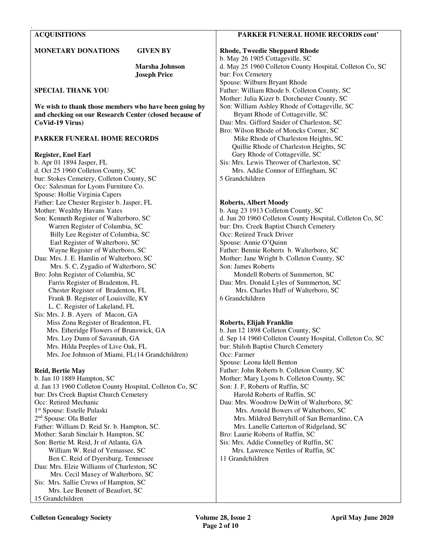## **ACQUISITIONS**

.

#### **MONETARY DONATIONS GIVEN BY**

 **Marsha Johnson Joseph Price** 

**SPECIAL THANK YOU** 

**We wish to thank those members who have been going by and checking on our Research Center (closed because of CoVid-19 Virus)** 

## **PARKER FUNERAL HOME RECORDS**

#### **Register, Euel Earl**

b. Apr 01 1894 Jasper, FL d. Oct 25 1960 Colleton County, SC bur: Stokes Cemetery, Colleton County, SC Occ: Salesman for Lyons Furniture Co. Spouse: Hollie Virginia Capers Father: Lee Chester Register b. Jasper, FL Mother: Wealthy Havans Yates Son: Kenneth Register of Walterboro, SC Warren Register of Columbia, SC Billy Lee Register of Columbia, SC Earl Register of Walterboro, SC Wayne Register of Walterboro, SC Dau: Mrs. J. E. Hamlin of Walterboro, SC Mrs. S. C, Zygadio of Walterboro, SC Bro: John Register of Columbia, SC Farris Register of Bradenton, FL Chester Register of Bradenton, FL Frank B. Register of Louisville, KY L. C. Register of Lakeland, FL Sis: Mrs. J. B. Ayers of Macon, GA Miss Zona Register of Bradenton, FL Mrs. Etheridge Flowers of Brunswick, GA Mrs. Loy Dunn of Savannah, GA Mrs. Hilda Peeples of Live Oak, FL Mrs. Joe Johnson of Miami, FL(14 Grandchildren)

### **Reid, Bertie May**

b. Jan 10 1889 Hampton, SC d. Jan 13 1960 Colleton County Hospital, Colleton Co, SC bur: Drs Creek Baptist Church Cemetery Occ: Retired Mechanic 1 st Spouse: Estelle Pulaski 2 nd Spouse: Ola Butler Father: William D. Reid Sr. b. Hampton, SC. Mother: Sarah Sinclair b. Hampton, SC Son: Bertie M. Reid, Jr of Atlanta, GA William W. Reid of Yemassee, SC Ben C. Reid of Dyersburg, Tennessee Dau: Mrs. Elzie Williams of Charleston, SC Mrs. Cecil Maxey of Walterboro, SC Sis: Mrs. Sallie Crews of Hampton, SC Mrs. Lee Bennett of Beaufort, SC 15 Grandchildren

#### **PARKER FUNERAL HOME RECORDS cont'**

**Rhode, Tweedie Sheppard Rhode**  b. May 26 1905 Cottageville, SC d. May 25 1960 Colleton County Hospital, Colleton Co, SC bur: Fox Cemetery Spouse: Wilburn Bryant Rhode Father: William Rhode b. Colleton County, SC Mother: Julia Kizer b. Dorchester County, SC Son: William Ashley Rhode of Cottageville, SC Bryant Rhode of Cottageville, SC Dau: Mrs. Gifford Snider of Charleston, SC Bro: Wilson Rhode of Moncks Corner, SC Mike Rhode of Charleston Heights, SC Quillie Rhode of Charleston Heights, SC Gary Rhode of Cottageville, SC Sis: Mrs. Lewis Thrower of Charleston, SC Mrs. Addie Connor of Effingham, SC 5 Grandchildren

## **Roberts, Albert Moody**

b. Aug 23 1913 Colleton County, SC d. Jun 20 1960 Colleton County Hospital, Colleton Co, SC bur: Drs. Creek Baptist Church Cemetery Occ: Retired Truck Driver Spouse: Annie O'Quinn Father: Bennie Roberts b. Walterboro, SC Mother: Jane Wright b. Colleton County, SC Son: James Roberts Mondell Roberts of Summerton, SC Dau: Mrs. Donald Lyles of Summerton, SC Mrs. Charles Huff of Walterboro, SC 6 Grandchildren

### **Roberts, Elijah Franklin**

b. Jun 12 1898 Colleton County, SC d. Sep 14 1960 Colleton County Hospital, Colleton Co, SC bur: Shiloh Baptist Church Cemetery Occ: Farmer Spouse: Leona Idell Benton Father: John Roberts b. Colleton County, SC Mother: Mary Lyons b. Colleton County, SC Son: J. F, Roberts of Ruffin, SC Harold Roberts of Ruffin, SC Dau: Mrs. Woodrow DeWitt of Walterboro, SC Mrs. Arnold Bowers of Walterboro, SC Mrs. Mildred Berryhill of San Bernardino, CA Mrs. Lanelle Catterton of Ridgeland, SC Bro: Laurie Roberts of Ruffin, SC Sis: Mrs. Addie Connelley of Ruffin, SC Mrs. Lawrence Nettles of Ruffin, SC 11 Grandchildren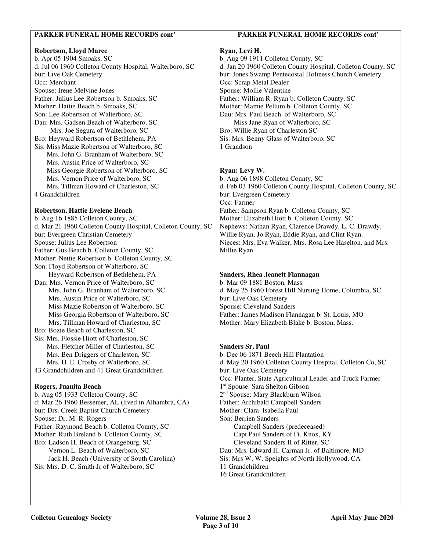## **PARKER FUNERAL HOME RECORDS cont'**

#### **Robertson, Lloyd Maree**

.

b. Apr 05 1904 Smoaks, SC d. Jul 06 1960 Colleton County Hospital, Walterboro, SC bur; Live Oak Cemetery Occ: Merchant Spouse: Irene Melvine Jones Father: Julius Lee Robertson b. Smoaks, SC Mother: Hattie Beach b. Smoaks, SC Son: Lee Robertson of Walterboro, SC Dau: Mrs. Gadsen Beach of Walterboro, SC Mrs. Joe Segura of Walterboro, SC Bro: Heyward Robertson of Bethlehem, PA Sis: Miss Mazie Robertson of Walterboro, SC Mrs. John G. Branham of Walterboro, SC Mrs. Austin Price of Walterboro, SC Miss Georgie Robertson of Walterboro, SC Mrs. Vernon Price of Walterboro, SC Mrs. Tillman Howard of Charleston, SC 4 Grandchildren

#### **Robertson, Hattie Evelene Beach**

b. Aug 16 1885 Colleton County, SC d. Mar 21 1960 Colleton County Hospital, Colleton County, SC bur: Evergreen Christian Cemetery Spouse: Julius Lee Robertson Father: Gus Beach b. Colleton County, SC Mother: Nettie Robertson b. Colleton County, SC Son: Floyd Robertson of Walterboro, SC Heyward Robertson of Bethlehem, PA Dau: Mrs. Vernon Price of Walterboro, SC Mrs. John G. Branham of Walterboro, SC Mrs. Austin Price of Walterboro, SC Miss Mazie Robertson of Walterboro, SC Miss Georgia Robertson of Walterboro, SC Mrs. Tillman Howard of Charleston, SC Bro: Bozie Beach of Charleston, SC Sis: Mrs. Flossie Hiott of Charleston, SC Mrs. Fletcher Miller of Charleston, SC Mrs. Ben Driggers of Charleston, SC Mrs. H. E. Crosby of Walterboro, SC 43 Grandchildren and 41 Great Grandchildren

## **Rogers, Juanita Beach**

b. Aug 05 1933 Colleton County, SC d: Mar 26 1960 Bessemer, AL (lived in Alhambra, CA) bur: Drs. Creek Baptist Church Cemetery Spouse: Dr. M. R. Rogers Father: Raymond Beach b. Colleton County, SC Mother: Ruth Breland b. Colleton County, SC Bro: Ladson H. Beach of Orangeburg, SC Vernon L. Beach of Walterboro, SC Jack H. Beach (University of South Carolina) Sis: Mrs. D. C, Smith Jr of Walterboro, SC

## **PARKER FUNERAL HOME RECORDS cont'**

## **Ryan, Levi H.**

b. Aug 09 1911 Colleton County, SC d. Jan 20 1960 Colleton County Hospital, Colleton County, SC bur: Jones Swamp Pentecostal Holiness Church Cemetery Occ: Scrap Metal Dealer Spouse: Mollie Valentine Father: William R. Ryan b. Colleton County, SC Mother: Mamie Pellum b. Colleton County, SC Dau: Mrs. Paul Beach of Walterboro, SC Miss Jane Ryan of Walterboro, SC Bro: Willie Ryan of Charleston SC Sis: Mrs. Benny Glass of Walterboro, SC 1 Grandson

### **Ryan: Levy W.**

b. Aug 06 1898 Colleton County, SC d. Feb 03 1960 Colleton County Hospital, Colleton County, SC bur: Evergreen Cemetery Occ: Farmer Father: Sampson Ryan b. Colleton County, SC Mother: Elizabeth Hiott b. Colleton County, SC Nephews: Nathan Ryan, Clarence Drawdy, L. C. Drawdy, Willie Ryan, Jo Ryan, Eddie Ryan, and Clint Ryan. Nieces: Mrs. Eva Walker, Mrs. Rosa Lee Haselton, and Mrs. Millie Ryan

#### **Sanders, Rhea Jeanett Flannagan**

b. Mar 09 1881 Boston, Mass. d. May 25 1960 Forest Hill Nursing Home, Columbia, SC bur: Live Oak Cemetery Spouse: Cleveland Sanders Father: James Madison Flannagan b. St. Louis, MO Mother: Mary Elizabeth Blake b. Boston, Mass.

#### **Sanders Sr, Paul**

b. Dec 06 1871 Beech Hill Plantation d. May 20 1960 Colleton County Hospital, Colleton Co, SC bur: Live Oak Cemetery Occ: Planter, State Agricultural Leader and Truck Farmer 1 st Spouse: Sara Shelton Gibson 2 nd Spouse: Mary Blackburn Wilson Father: Archibald Campbell Sanders Mother: Clara Isabella Paul Son: Berrien Sanders Campbell Sanders (predeceased) Capt Paul Sanders of Ft. Knox, KY Cleveland Sanders II of Ritter, SC Dau: Mrs. Edward H. Carman Jr. of Baltimore, MD Sis: Mrs W. W. Speights of North Hollywood, CA 11 Grandchildren 16 Great Grandchildren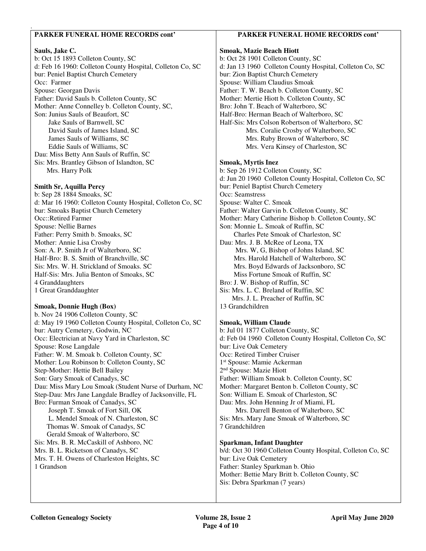## **PARKER FUNERAL HOME RECORDS cont'**

## **Sauls, Jake C.**

.

b: Oct 15 1893 Colleton County, SC d: Feb 16 1960: Colleton County Hospital, Colleton Co, SC bur: Peniel Baptist Church Cemetery Occ: Farmer Spouse: Georgan Davis Father: David Sauls b. Colleton County, SC Mother: Anne Connelley b. Colleton County, SC, Son: Junius Sauls of Beaufort, SC Jake Sauls of Barnwell, SC David Sauls of James Island, SC James Sauls of Williams, SC Eddie Sauls of Williams, SC Dau: Miss Betty Ann Sauls of Ruffin, SC Sis: Mrs. Brantley Gibson of Islandton, SC Mrs. Harry Polk

## **Smith Sr, Aquilla Percy**

b: Sep 28 1884 Smoaks, SC d: Mar 16 1960: Colleton County Hospital, Colleton Co, SC bur: Smoaks Baptist Church Cemetery Occ::Retired Farmer Spouse: Nellie Barnes Father: Perry Smith b. Smoaks, SC Mother: Annie Lisa Crosby Son: A. P. Smith Jr of Walterboro, SC Half-Bro: B. S. Smith of Branchville, SC Sis: Mrs. W. H. Strickland of Smoaks. SC Half-Sis: Mrs. Julia Benton of Smoaks, SC 4 Granddaughters 1 Great Granddaughter

### **Smoak, Donnie Hugh (Box)**

b. Nov 24 1906 Colleton County, SC d: May 19 1960 Colleton County Hospital, Colleton Co, SC bur: Autry Cemetery, Godwin, NC Occ: Electrician at Navy Yard in Charleston, SC Spouse: Rose Langdale Father: W. M. Smoak b. Colleton County, SC Mother: Lou Robinson b: Colleton County, SC Step-Mother: Hettie Bell Bailey Son: Gary Smoak of Canadys, SC Dau: Miss Mary Lou Smoak (Student Nurse of Durham, NC Step-Dau: Mrs Jane Langdale Bradley of Jacksonville, FL Bro: Furman Smoak of Canadys, SC Joseph T. Smoak of Fort Sill, OK L. Mendel Smoak of N. Charleston, SC Thomas W. Smoak of Canadys, SC Gerald Smoak of Walterboro, SC Sis: Mrs. B. R. McCaskill of Ashboro, NC Mrs. B. L. Ricketson of Canadys, SC Mrs. T. H. Owens of Charleston Heights, SC 1 Grandson

# **PARKER FUNERAL HOME RECORDS cont'**

## **Smoak, Mazie Beach Hiott**  b: Oct 28 1901 Colleton County, SC d: Jan 13 1960 Colleton County Hospital, Colleton Co, SC bur: Zion Baptist Church Cemetery Spouse: William Claudius Smoak Father: T. W. Beach b. Colleton County, SC Mother: Mertie Hiott b. Colleton County, SC Bro: John T. Beach of Walterboro, SC Half-Bro: Herman Beach of Walterboro, SC Half-Sis: Mrs Colson Robertson of Walterboro, SC Mrs. Coralie Crosby of Walterboro, SC Mrs. Ruby Brown of Walterboro, SC Mrs. Vera Kinsey of Charleston, SC

# **Smoak, Myrtis Inez**

b: Sep 26 1912 Colleton County, SC d: Jun 20 1960 Colleton County Hospital, Colleton Co, SC bur: Peniel Baptist Church Cemetery Occ: Seamstress Spouse: Walter C. Smoak Father: Walter Garvin b. Colleton County, SC Mother: Mary Catherine Bishop b. Colleton County, SC Son: Monnie L. Smoak of Ruffin, SC Charles Pete Smoak of Charleston, SC Dau: Mrs. J. B. McRee of Leona, TX Mrs. W, G, Bishop of Johns Island, SC Mrs. Harold Hatchell of Walterboro, SC Mrs. Boyd Edwards of Jacksonboro, SC Miss Fortune Smoak of Ruffin, SC Bro: J. W. Bishop of Ruffin, SC Sis: Mrs. L. C. Breland of Ruffin, SC Mrs. J. L. Preacher of Ruffin, SC 13 Grandchildren

# **Smoak, William Claude**

b: Jul 01 1877 Colleton County, SC d: Feb 04 1960 Colleton County Hospital, Colleton Co, SC bur: Live Oak Cemetery Occ: Retired Timber Cruiser 1 st Spouse: Mamie Ackerman 2<sup>nd</sup> Spouse: Mazie Hiott Father: William Smoak b. Colleton County, SC Mother: Margaret Benton b. Colleton County, SC Son: William E. Smoak of Charleston, SC Dau: Mrs. John Henning Jr of Miami, FL Mrs. Darrell Benton of Walterboro, SC Sis: Mrs. Mary Jane Smoak of Walterboro, SC 7 Grandchildren

# **Sparkman, Infant Daughter**

b/d: Oct 30 1960 Colleton County Hospital, Colleton Co, SC bur: Live Oak Cemetery Father: Stanley Sparkman b. Ohio Mother: Bettie Mary Britt b. Colleton County, SC Sis: Debra Sparkman (7 years)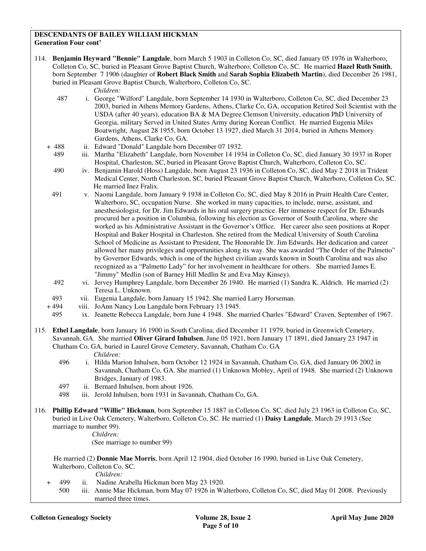#### **DESCENDANTS OF BAILEY WILLIAM HICKMAN Generation Four cont'**

114. **Benjamin Heyward "Bennie" Langdale**, born March 5 1903 in Colleton Co, SC, died January 05 1976 in Walterboro, Colleton Co, SC, buried in Pleasant Grove Baptist Church, Walterboro, Colleton Co, SC. He married **Hazel Ruth Smith**, born September 7 1906 (daughter of **Robert Black Smith** and **Sarah Sophia Elizabeth Martin**), died December 26 1981, buried in Pleasant Grove Baptist Church, Walterboro, Colleton Co, SC.

#### *Children:*

.

- 487 i. George "Wilford" Langdale, born September 14 1930 in Walterboro, Colleton Co, SC, died December 23 2003, buried in Athens Memory Gardens, Athens, Clarke Co, GA, occupation Retired Soil Scientist with the USDA (after 40 years), education BA & MA Degree Clemson University, education PhD University of Georgia, military Served in United States Army during Korean Conflict. He married Eugenia Miles Boatwright, August 28 1955, born October 13 1927, died March 31 2014, buried in Athens Memory Gardens, Athens, Clarke Co, GA.
- + 488 ii. Edward "Donald" Langdale born December 07 1932.
	- 489 iii. Martha "Elizabeth" Langdale, born November 14 1934 in Colleton Co, SC, died January 30 1937 in Roper Hospital, Charleston, SC, buried in Pleasant Grove Baptist Church, Walterboro, Colleton Co, SC.
	- 490 iv. Benjamin Harold (Hoss) Langdale, born August 23 1936 in Colleton Co, SC, died May 2 2018 in Trident Medical Center, North Charleston, SC, buried Pleasant Grove Baptist Church, Walterboro, Colleton Co, SC. He married Inez Fralix.
- 491 v. Naomi Langdale, born January 9 1938 in Colleton Co, SC, died May 8 2016 in Pruitt Health Care Center, Walterboro, SC, occupation Nurse. She worked in many capacities, to include, nurse, assistant, and anesthesiologist, for Dr. Jim Edwards in his oral surgery practice. Her immense respect for Dr. Edwards procured her a position in Columbia, following his election as Governor of South Carolina, where she worked as his Administrative Assistant in the Governor's Office. Her career also seen positions at Roper Hospital and Baker Hospital in Charleston. She retired from the Medical University of South Carolina School of Medicine as Assistant to President, The Honorable Dr. Jim Edwards. Her dedication and career allowed her many privileges and opportunities along its way. She was awarded "The Order of the Palmetto" by Governor Edwards, which is one of the highest civilian awards known in South Carolina and was also recognized as a "Palmetto Lady" for her involvement in healthcare for others. She married James E. "Jimmy" Medlin (son of Barney Hill Medlin Sr and Eva May Kinsey).
- 492 vi. Jervey Humphrey Langdale, born December 26 1940. He married (1) Sandra K. Aldrich. He married (2) Teresa L. Unknown.
- 493 vii. Eugenia Langdale, born January 15 1942. She married Larry Horseman.
- + 494 viii. JoAnn Nancy Lou Langdale born February 13 1945.
- 495 ix. Jeanette Rebecca Langdale, born June 4 1948. She married Charles "Edward" Craven, September of 1967.
- 115. **Ethel Langdale**, born January 16 1900 in South Carolina, died December 11 1979, buried in Greenwich Cemetery, Savannah, GA. She married **Oliver Girard Inhulsen**, June 05 1921, born January 17 1891, died January 23 1947 in Chatham Co, GA, buried in Laurel Grove Cemetery, Savannah, Chatham Co, GA

## *Children:*

- 496 i. Hilda Marion Inhulsen, born October 12 1924 in Savannah, Chatham Co, GA, died January 06 2002 in Savannah, Chatham Co, GA. She married (1) Unknown Mobley, April of 1948. She married (2) Unknown Bridges, January of 1983.
- 497 ii. Bernard Inhulsen, born about 1926.
- 498 iii. Jerold Inhulsen, born 1931 in Savannah, Chatham Co, GA.
- 116. **Phillip Edward "Willie" Hickman**, born September 15 1887 in Colleton Co, SC, died July 23 1963 in Colleton Co, SC, buried in Live Oak Cemetery, Walterboro, Colleton Co, SC. He married (1) **Daisy Langdale**, March 29 1913 (See marriage to number 99).
	- *Children:*

(See marriage to number 99)

 He married (2) **Donnie Mae Morris**, born April 12 1904, died October 16 1990, buried in Live Oak Cemetery, Walterboro, Colleton Co, SC.

- + 499 ii. Nadine Arabella Hickman born May 23 1920.
- 500 iii. Annie Mae Hickman, born May 07 1926 in Walterboro, Colleton Co, SC, died May 01 2008. Previously married three times.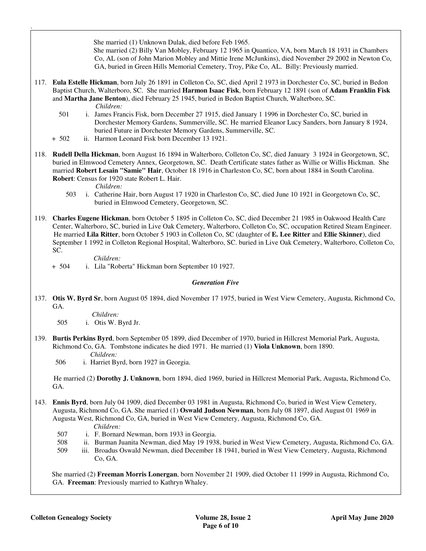She married (1) Unknown Dulak, died before Feb 1965.

 She married (2) Billy Van Mobley, February 12 1965 in Quantico, VA, born March 18 1931 in Chambers Co, AL (son of John Marion Mobley and Mittie Irene McJunkins), died November 29 2002 in Newton Co, GA, buried in Green Hills Memorial Cemetery, Troy, Pike Co, AL. Billy: Previously married.

- 117. **Eula Estelle Hickman**, born July 26 1891 in Colleton Co, SC, died April 2 1973 in Dorchester Co, SC, buried in Bedon Baptist Church, Walterboro, SC. She married **Harmon Isaac Fisk**, born February 12 1891 (son of **Adam Franklin Fisk** and **Martha Jane Benton**), died February 25 1945, buried in Bedon Baptist Church, Walterboro, SC.  *Children:*
	- 501 i. James Francis Fisk, born December 27 1915, died January 1 1996 in Dorchester Co, SC, buried in Dorchester Memory Gardens, Summerville, SC. He married Eleanor Lucy Sanders, born January 8 1924, buried Future in Dorchester Memory Gardens, Summerville, SC.
	- + 502 ii. Harmon Leonard Fisk born December 13 1921.
- 118. **Rudell Della Hickman**, born August 16 1894 in Walterboro, Colleton Co, SC, died January 3 1924 in Georgetown, SC, buried in Elmwood Cemetery Annex, Georgetown, SC. Death Certificate states father as Willie or Willis Hickman. She married **Robert Lesain "Samie" Hair**, October 18 1916 in Charleston Co, SC, born about 1884 in South Carolina. **Robert**: Census for 1920 state Robert L. Hair.

 *Children:*

.

- 503 i. Catherine Hair, born August 17 1920 in Charleston Co, SC, died June 10 1921 in Georgetown Co, SC, buried in Elmwood Cemetery, Georgetown, SC.
- 119. **Charles Eugene Hickman**, born October 5 1895 in Colleton Co, SC, died December 21 1985 in Oakwood Health Care Center, Walterboro, SC, buried in Live Oak Cemetery, Walterboro, Colleton Co, SC, occupation Retired Steam Engineer. He married **Lila Ritter**, born October 5 1903 in Colleton Co, SC (daughter of **E. Lee Ritter** and **Ellie Skinner**), died September 1 1992 in Colleton Regional Hospital, Walterboro, SC. buried in Live Oak Cemetery, Walterboro, Colleton Co, SC.

 *Children:*

+ 504 i. Lila "Roberta" Hickman born September 10 1927.

### *Generation Five*

137. **Otis W. Byrd Sr**, born August 05 1894, died November 17 1975, buried in West View Cemetery, Augusta, Richmond Co, GA.

 *Children:* 505 i. Otis W. Byrd Jr.

- 139. **Burtis Perkins Byrd**, born September 05 1899, died December of 1970, buried in Hillcrest Memorial Park, Augusta, Richmond Co, GA. Tombstone indicates he died 1971. He married (1) **Viola Unknown**, born 1890.  *Children:*
	- 506 i. Harriet Byrd, born 1927 in Georgia.

 He married (2) **Dorothy J. Unknown**, born 1894, died 1969, buried in Hillcrest Memorial Park, Augusta, Richmond Co, GA.

143. **Ennis Byrd**, born July 04 1909, died December 03 1981 in Augusta, Richmond Co, buried in West View Cemetery, Augusta, Richmond Co, GA. She married (1) **Oswald Judson Newman**, born July 08 1897, died August 01 1969 in Augusta West, Richmond Co, GA, buried in West View Cemetery, Augusta, Richmond Co, GA.

 *Children:*

- 507 i. F. Bornard Newman, born 1933 in Georgia.
- 508 ii. Burman Juanita Newman, died May 19 1938, buried in West View Cemetery, Augusta, Richmond Co, GA.
- 509 iii. Broadus Oswald Newman, died December 18 1941, buried in West View Cemetery, Augusta, Richmond Co, GA.

 She married (2) **Freeman Morris Lonergan**, born November 21 1909, died October 11 1999 in Augusta, Richmond Co, GA. **Freeman**: Previously married to Kathryn Whaley.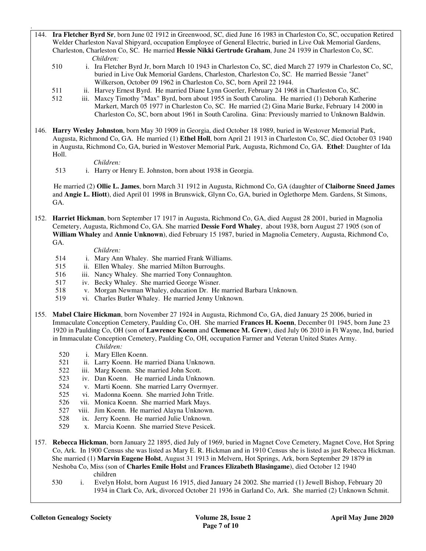- 144. **Ira Fletcher Byrd Sr**, born June 02 1912 in Greenwood, SC, died June 16 1983 in Charleston Co, SC, occupation Retired Welder Charleston Naval Shipyard, occupation Employee of General Electric, buried in Live Oak Memorial Gardens, Charleston, Charleston Co, SC. He married **Hessie Nikki Gertrude Graham**, June 24 1939 in Charleston Co, SC.  *Children:*
	- 510 i. Ira Fletcher Byrd Jr, born March 10 1943 in Charleston Co, SC, died March 27 1979 in Charleston Co, SC, buried in Live Oak Memorial Gardens, Charleston, Charleston Co, SC. He married Bessie "Janet" Wilkerson, October 09 1962 in Charleston Co, SC, born April 22 1944.
	- 511 ii. Harvey Ernest Byrd. He married Diane Lynn Goerler, February 24 1968 in Charleston Co, SC.
	- 512 iii. Maxcy Timothy "Max" Byrd, born about 1955 in South Carolina. He married (1) Deborah Katherine Markert, March 05 1977 in Charleston Co, SC. He married (2) Gina Marie Burke, February 14 2000 in Charleston Co, SC, born about 1961 in South Carolina. Gina: Previously married to Unknown Baldwin.
- 146. **Harry Wesley Johnston**, born May 30 1909 in Georgia, died October 18 1989, buried in Westover Memorial Park, Augusta, Richmond Co, GA. He married (1) **Ethel Holl**, born April 21 1913 in Charleston Co, SC, died October 03 1940 in Augusta, Richmond Co, GA, buried in Westover Memorial Park, Augusta, Richmond Co, GA. **Ethel**: Daughter of Ida Holl.

 *Children:*

.

513 i. Harry or Henry E. Johnston, born about 1938 in Georgia.

 He married (2) **Ollie L. James**, born March 31 1912 in Augusta, Richmond Co, GA (daughter of **Claiborne Sneed James** and **Angie L. Hiott**), died April 01 1998 in Brunswick, Glynn Co, GA, buried in Oglethorpe Mem. Gardens, St Simons, GA.

152. **Harriet Hickman**, born September 17 1917 in Augusta, Richmond Co, GA, died August 28 2001, buried in Magnolia Cemetery, Augusta, Richmond Co, GA. She married **Dessie Ford Whaley**, about 1938, born August 27 1905 (son of **William Whaley** and **Annie Unknown**), died February 15 1987, buried in Magnolia Cemetery, Augusta, Richmond Co, GA.

- 514 i. Mary Ann Whaley. She married Frank Williams.
- 515 ii. Ellen Whaley. She married Milton Burroughs.
- 516 iii. Nancy Whaley. She married Tony Connaughton.
- 517 iv. Becky Whaley. She married George Wisner.
- 518 v. Morgan Newman Whaley, education Dr. He married Barbara Unknown.<br>519 vi. Charles Butler Whaley. He married Jenny Unknown.
- vi. Charles Butler Whaley. He married Jenny Unknown.
- 155. **Mabel Claire Hickman**, born November 27 1924 in Augusta, Richmond Co, GA, died January 25 2006, buried in Immaculate Conception Cemetery, Paulding Co, OH. She married **Frances H. Koenn**, December 01 1945, born June 23 1920 in Paulding Co, OH (son of **Lawrence Koenn** and **Clemence M. Grew**), died July 06 2010 in Ft Wayne, Ind, buried in Immaculate Conception Cemetery, Paulding Co, OH, occupation Farmer and Veteran United States Army.
	- *Children:*
	- 520 i. Mary Ellen Koenn.
	- 521 ii. Larry Koenn. He married Diana Unknown.
	- 522 iii. Marg Koenn. She married John Scott.
	- 523 iv. Dan Koenn. He married Linda Unknown.
	- 524 v. Marti Koenn. She married Larry Overmyer.
	- 525 vi. Madonna Koenn. She married John Tritle.
	- 526 vii. Monica Koenn. She married Mark Mays.
	- 527 viii. Jim Koenn. He married Alayna Unknown.
	- 528 ix. Jerry Koenn. He married Julie Unknown.
	- 529 x. Marcia Koenn. She married Steve Pesicek.
- 157. **Rebecca Hickman**, born January 22 1895, died July of 1969, buried in Magnet Cove Cemetery, Magnet Cove, Hot Spring Co, Ark. In 1900 Census she was listed as Mary E. R. Hickman and in 1910 Census she is listed as just Rebecca Hickman. She married (1) **Marvin Eugene Holst**, August 31 1913 in Melvern, Hot Springs, Ark, born September 29 1879 in Neshoba Co, Miss (son of **Charles Emile Holst** and **Frances Elizabeth Blasingame**), died October 12 1940 children
	- 530 i. Evelyn Holst, born August 16 1915, died January 24 2002. She married (1) Jewell Bishop, February 20 1934 in Clark Co, Ark, divorced October 21 1936 in Garland Co, Ark. She married (2) Unknown Schmit.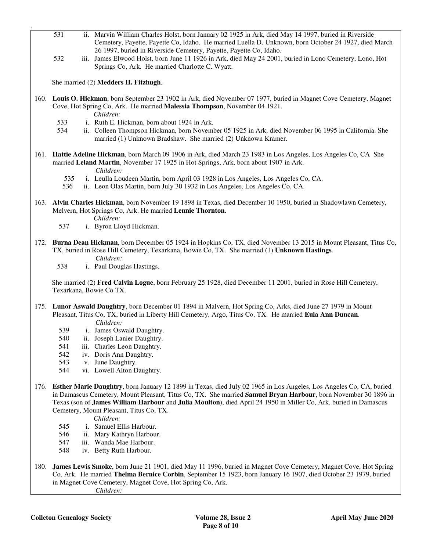- 531 ii. Marvin William Charles Holst, born January 02 1925 in Ark, died May 14 1997, buried in Riverside Cemetery, Payette, Payette Co, Idaho. He married Luella D. Unknown, born October 24 1927, died March 26 1997, buried in Riverside Cemetery, Payette, Payette Co, Idaho.
- 532 iii. James Elwood Holst, born June 11 1926 in Ark, died May 24 2001, buried in Lono Cemetery, Lono, Hot Springs Co, Ark. He married Charlotte C. Wyatt.

She married (2) **Medders H. Fitzhugh**.

- 160. **Louis O. Hickman**, born September 23 1902 in Ark, died November 07 1977, buried in Magnet Cove Cemetery, Magnet Cove, Hot Spring Co, Ark. He married **Malessia Thompson**, November 04 1921.
	- *Children:*

.

- 533 i. Ruth E. Hickman, born about 1924 in Ark.<br>534 ii. Colleen Thompson Hickman, born Novemb
	- ii. Colleen Thompson Hickman, born November 05 1925 in Ark, died November 06 1995 in California. She married (1) Unknown Bradshaw. She married (2) Unknown Kramer.
- 161. **Hattie Adeline Hickman**, born March 09 1906 in Ark, died March 23 1983 in Los Angeles, Los Angeles Co, CA She married **Leland Martin**, November 17 1925 in Hot Springs, Ark, born about 1907 in Ark.
	- *Children:*
	- 535 i. Leulla Loudeen Martin, born April 03 1928 in Los Angeles, Los Angeles Co, CA.
	- 536 ii. Leon Olas Martin, born July 30 1932 in Los Angeles, Los Angeles Co, CA.
- 163. **Alvin Charles Hickman**, born November 19 1898 in Texas, died December 10 1950, buried in Shadowlawn Cemetery, Melvern, Hot Springs Co, Ark. He married **Lennie Thornton**.

 *Children:*

- 537 i. Byron Lloyd Hickman.
- 172. **Burna Dean Hickman**, born December 05 1924 in Hopkins Co, TX, died November 13 2015 in Mount Pleasant, Titus Co, TX, buried in Rose Hill Cemetery, Texarkana, Bowie Co, TX. She married (1) **Unknown Hastings**.  *Children:*

538 i. Paul Douglas Hastings.

 She married (2) **Fred Calvin Logue**, born February 25 1928, died December 11 2001, buried in Rose Hill Cemetery, Texarkana, Bowie Co TX.

- 175. **Lunor Aswald Daughtry**, born December 01 1894 in Malvern, Hot Spring Co, Arks, died June 27 1979 in Mount Pleasant, Titus Co, TX, buried in Liberty Hill Cemetery, Argo, Titus Co, TX. He married **Eula Ann Duncan**.  *Children:*
	- 539 i. James Oswald Daughtry.
	- 540 ii. Joseph Lanier Daughtry.
	- 541 iii. Charles Leon Daughtry.
	- 542 iv. Doris Ann Daughtry.
	- 543 v. June Daughtry.
	- 544 vi. Lowell Alton Daughtry.
- 176. **Esther Marie Daughtry**, born January 12 1899 in Texas, died July 02 1965 in Los Angeles, Los Angeles Co, CA, buried in Damascus Cemetery, Mount Pleasant, Titus Co, TX. She married **Samuel Bryan Harbour**, born November 30 1896 in Texas (son of **James William Harbour** and **Julia Moulton**), died April 24 1950 in Miller Co, Ark, buried in Damascus Cemetery, Mount Pleasant, Titus Co, TX.

- 545 i. Samuel Ellis Harbour.
- 546 ii. Mary Kathryn Harbour.
- 547 iii. Wanda Mae Harbour.
- 548 iv. Betty Ruth Harbour.
- 180. **James Lewis Smoke**, born June 21 1901, died May 11 1996, buried in Magnet Cove Cemetery, Magnet Cove, Hot Spring Co, Ark. He married **Thelma Bernice Corbin**, September 15 1923, born January 16 1907, died October 23 1979, buried in Magnet Cove Cemetery, Magnet Cove, Hot Spring Co, Ark.  *Children:*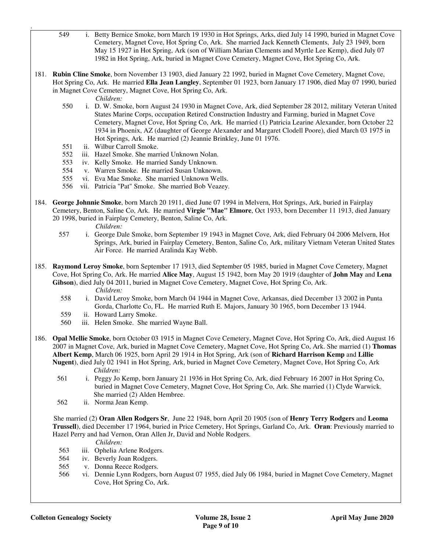- 549 i. Betty Bernice Smoke, born March 19 1930 in Hot Springs, Arks, died July 14 1990, buried in Magnet Cove Cemetery, Magnet Cove, Hot Spring Co, Ark. She married Jack Kenneth Clements, July 23 1949, born May 15 1927 in Hot Spring, Ark (son of William Marian Clements and Myrtle Lee Kemp), died July 07 1982 in Hot Spring, Ark, buried in Magnet Cove Cemetery, Magnet Cove, Hot Spring Co, Ark.
- 181. **Rubin Cline Smoke**, born November 13 1903, died January 22 1992, buried in Magnet Cove Cemetery, Magnet Cove, Hot Spring Co, Ark. He married **Ella Jean Langley**, September 01 1923, born January 17 1906, died May 07 1990, buried in Magnet Cove Cemetery, Magnet Cove, Hot Spring Co, Ark.

 *Children:*

.

- 550 i. D. W. Smoke, born August 24 1930 in Magnet Cove, Ark, died September 28 2012, military Veteran United States Marine Corps, occupation Retired Construction Industry and Farming, buried in Magnet Cove Cemetery, Magnet Cove, Hot Spring Co, Ark. He married (1) Patricia Learine Alexander, born October 22 1934 in Phoenix, AZ (daughter of George Alexander and Margaret Clodell Poore), died March 03 1975 in Hot Springs, Ark. He married (2) Jeannie Brinkley, June 01 1976.
- 551 ii. Wilbur Carroll Smoke.
- 552 iii. Hazel Smoke. She married Unknown Nolan.
- 553 iv. Kelly Smoke. He married Sandy Unknown.
- 554 v. Warren Smoke. He married Susan Unknown.
- 555 vi. Eva Mae Smoke. She married Unknown Wells.
- 556 vii. Patricia "Pat" Smoke. She married Bob Veazey.
- 184. **George Johnnie Smoke**, born March 20 1911, died June 07 1994 in Melvern, Hot Springs, Ark, buried in Fairplay Cemetery, Benton, Saline Co, Ark. He married **Virgie "Mae" Elmore**, Oct 1933, born December 11 1913, died January 20 1998, buried in Fairplay Cemetery, Benton, Saline Co, Ark.  *Children:*
	-
	- 557 i. George Dale Smoke, born September 19 1943 in Magnet Cove, Ark, died February 04 2006 Melvern, Hot Springs, Ark, buried in Fairplay Cemetery, Benton, Saline Co, Ark, military Vietnam Veteran United States Air Force. He married Aralinda Kay Webb.
- 185. **Raymond Leroy Smoke**, born September 17 1913, died September 05 1985, buried in Magnet Cove Cemetery, Magnet Cove, Hot Spring Co, Ark. He married **Alice May**, August 15 1942, born May 20 1919 (daughter of **John May** and **Lena**  Gibson), died July 04 2011, buried in Magnet Cove Cemetery, Magnet Cove, Hot Spring Co, Ark.  *Children:*
	- 558 i. David Leroy Smoke, born March 04 1944 in Magnet Cove, Arkansas, died December 13 2002 in Punta Gorda, Charlotte Co, FL. He married Ruth E. Majors, January 30 1965, born December 13 1944.
	- 559 ii. Howard Larry Smoke.<br>560 iii. Helen Smoke. She ma
	- iii. Helen Smoke. She married Wayne Ball.

186. **Opal Mellie Smoke**, born October 03 1915 in Magnet Cove Cemetery, Magnet Cove, Hot Spring Co, Ark, died August 16 2007 in Magnet Cove, Ark, buried in Magnet Cove Cemetery, Magnet Cove, Hot Spring Co, Ark. She married (1) **Thomas Albert Kemp**, March 06 1925, born April 29 1914 in Hot Spring, Ark (son of **Richard Harrison Kemp** and **Lillie Nugent**), died July 02 1941 in Hot Spring, Ark, buried in Magnet Cove Cemetery, Magnet Cove, Hot Spring Co, Ark  *Children:*

- 561 i. Peggy Jo Kemp, born January 21 1936 in Hot Spring Co, Ark, died February 16 2007 in Hot Spring Co, buried in Magnet Cove Cemetery, Magnet Cove, Hot Spring Co, Ark. She married (1) Clyde Warwick. She married (2) Alden Hembree.
- 562 ii. Norma Jean Kemp.

 She married (2) **Oran Allen Rodgers Sr**, June 22 1948, born April 20 1905 (son of **Henry Terry Rodgers** and **Leoma Trussell**), died December 17 1964, buried in Price Cemetery, Hot Springs, Garland Co, Ark. **Oran**: Previously married to Hazel Perry and had Vernon, Oran Allen Jr, David and Noble Rodgers.

- 563 iii. Ophelia Arlene Rodgers.
- 564 iv. Beverly Joan Rodgers.
- 565 v. Donna Reece Rodgers.
- 566 vi. Dennie Lynn Rodgers, born August 07 1955, died July 06 1984, buried in Magnet Cove Cemetery, Magnet Cove, Hot Spring Co, Ark.